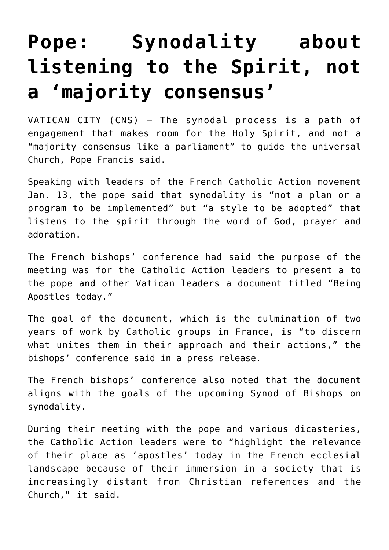## **[Pope: Synodality about](https://www.osvnews.com/amp/2022/01/13/pope-synodality-about-listening-to-the-spirit-not-a-majority-consensus/) [listening to the Spirit, not](https://www.osvnews.com/amp/2022/01/13/pope-synodality-about-listening-to-the-spirit-not-a-majority-consensus/) [a 'majority consensus'](https://www.osvnews.com/amp/2022/01/13/pope-synodality-about-listening-to-the-spirit-not-a-majority-consensus/)**

VATICAN CITY (CNS) — The synodal process is a path of engagement that makes room for the Holy Spirit, and not a "majority consensus like a parliament" to guide the universal Church, Pope Francis said.

Speaking with leaders of the French Catholic Action movement Jan. 13, the pope said that synodality is "not a plan or a program to be implemented" but "a style to be adopted" that listens to the spirit through the word of God, prayer and adoration.

The French bishops' conference had said the purpose of the meeting was for the Catholic Action leaders to present a to the pope and other Vatican leaders a document titled "Being Apostles today."

The goal of the document, which is the culmination of two years of work by Catholic groups in France, is "to discern what unites them in their approach and their actions," the bishops' conference said in a press release.

The French bishops' conference also noted that the document aligns with the goals of the upcoming Synod of Bishops on synodality.

During their meeting with the pope and various dicasteries, the Catholic Action leaders were to "highlight the relevance of their place as 'apostles' today in the French ecclesial landscape because of their immersion in a society that is increasingly distant from Christian references and the Church," it said.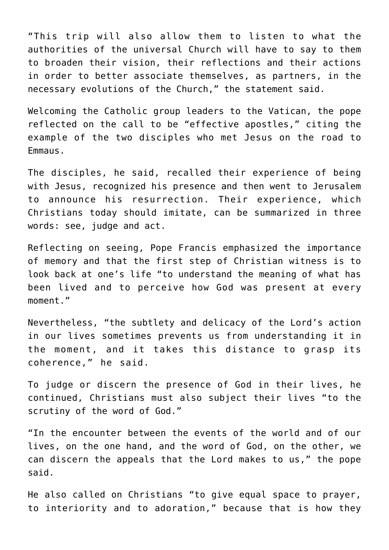"This trip will also allow them to listen to what the authorities of the universal Church will have to say to them to broaden their vision, their reflections and their actions in order to better associate themselves, as partners, in the necessary evolutions of the Church," the statement said.

Welcoming the Catholic group leaders to the Vatican, the pope reflected on the call to be "effective apostles," citing the example of the two disciples who met Jesus on the road to Emmaus.

The disciples, he said, recalled their experience of being with Jesus, recognized his presence and then went to Jerusalem to announce his resurrection. Their experience, which Christians today should imitate, can be summarized in three words: see, judge and act.

Reflecting on seeing, Pope Francis emphasized the importance of memory and that the first step of Christian witness is to look back at one's life "to understand the meaning of what has been lived and to perceive how God was present at every moment."

Nevertheless, "the subtlety and delicacy of the Lord's action in our lives sometimes prevents us from understanding it in the moment, and it takes this distance to grasp its coherence," he said.

To judge or discern the presence of God in their lives, he continued, Christians must also subject their lives "to the scrutiny of the word of God."

"In the encounter between the events of the world and of our lives, on the one hand, and the word of God, on the other, we can discern the appeals that the Lord makes to us," the pope said.

He also called on Christians "to give equal space to prayer, to interiority and to adoration," because that is how they